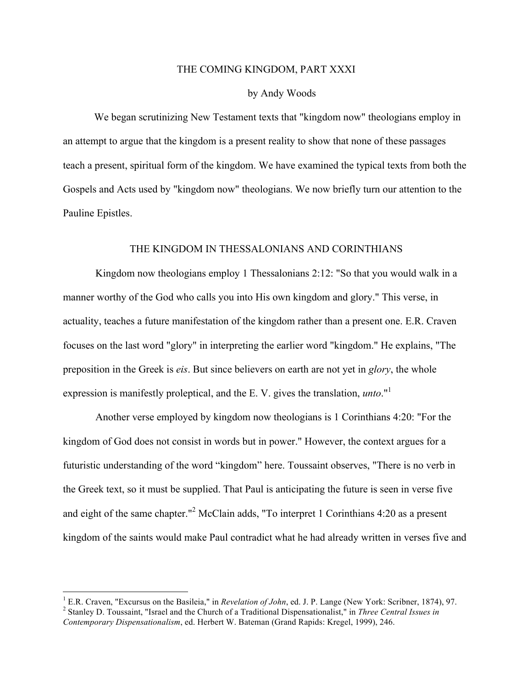## THE COMING KINGDOM, PART XXXI

## by Andy Woods

We began scrutinizing New Testament texts that "kingdom now" theologians employ in an attempt to argue that the kingdom is a present reality to show that none of these passages teach a present, spiritual form of the kingdom. We have examined the typical texts from both the Gospels and Acts used by "kingdom now" theologians. We now briefly turn our attention to the Pauline Epistles.

## THE KINGDOM IN THESSALONIANS AND CORINTHIANS

Kingdom now theologians employ 1 Thessalonians 2:12: "So that you would walk in a manner worthy of the God who calls you into His own kingdom and glory." This verse, in actuality, teaches a future manifestation of the kingdom rather than a present one. E.R. Craven focuses on the last word "glory" in interpreting the earlier word "kingdom." He explains, "The preposition in the Greek is *eis*. But since believers on earth are not yet in *glory*, the whole expression is manifestly proleptical, and the E. V. gives the translation, *unto*." 1

Another verse employed by kingdom now theologians is 1 Corinthians 4:20: "For the kingdom of God does not consist in words but in power." However, the context argues for a futuristic understanding of the word "kingdom" here. Toussaint observes, "There is no verb in the Greek text, so it must be supplied. That Paul is anticipating the future is seen in verse five and eight of the same chapter."2 McClain adds, "To interpret 1 Corinthians 4:20 as a present kingdom of the saints would make Paul contradict what he had already written in verses five and

<sup>&</sup>lt;sup>1</sup> E.R. Craven, "Excursus on the Basileia," in *Revelation of John*, ed. J. P. Lange (New York: Scribner, 1874), 97.<br><sup>2</sup> Stanlev D. Toussaint, "Israel and the Church of a Traditional Dispensationalist," in *Three Central* 

*Contemporary Dispensationalism*, ed. Herbert W. Bateman (Grand Rapids: Kregel, 1999), 246.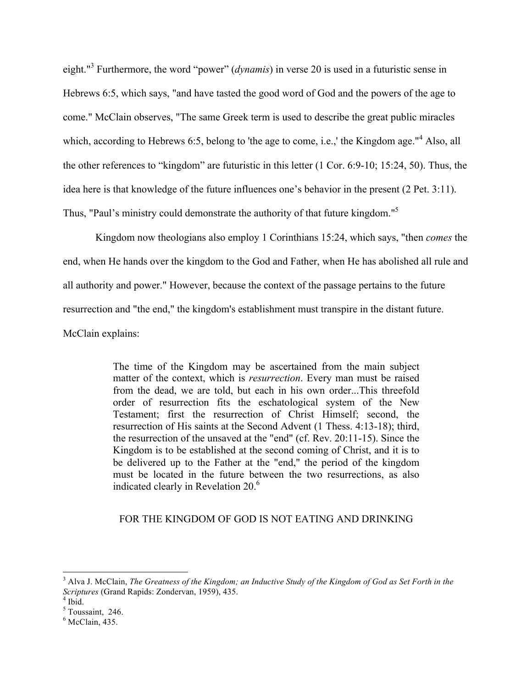eight."<sup>3</sup> Furthermore, the word "power" (*dynamis*) in verse 20 is used in a futuristic sense in Hebrews 6:5, which says, "and have tasted the good word of God and the powers of the age to come." McClain observes, "The same Greek term is used to describe the great public miracles which, according to Hebrews 6:5, belong to 'the age to come, i.e.,' the Kingdom age."<sup>4</sup> Also, all the other references to "kingdom" are futuristic in this letter (1 Cor. 6:9-10; 15:24, 50). Thus, the idea here is that knowledge of the future influences one's behavior in the present (2 Pet. 3:11). Thus, "Paul's ministry could demonstrate the authority of that future kingdom."<sup>5</sup>

Kingdom now theologians also employ 1 Corinthians 15:24, which says, "then *comes* the end, when He hands over the kingdom to the God and Father, when He has abolished all rule and all authority and power." However, because the context of the passage pertains to the future resurrection and "the end," the kingdom's establishment must transpire in the distant future. McClain explains:

> The time of the Kingdom may be ascertained from the main subject matter of the context, which is *resurrection*. Every man must be raised from the dead, we are told, but each in his own order...This threefold order of resurrection fits the eschatological system of the New Testament; first the resurrection of Christ Himself; second, the resurrection of His saints at the Second Advent (1 Thess. 4:13-18); third, the resurrection of the unsaved at the "end" (cf. Rev. 20:11-15). Since the Kingdom is to be established at the second coming of Christ, and it is to be delivered up to the Father at the "end," the period of the kingdom must be located in the future between the two resurrections, as also indicated clearly in Revelation  $20<sup>6</sup>$

## FOR THE KINGDOM OF GOD IS NOT EATING AND DRINKING

 <sup>3</sup> Alva J. McClain, *The Greatness of the Kingdom; an Inductive Study of the Kingdom of God as Set Forth in the Scriptures* (Grand Rapids: Zondervan, 1959), 435.<br><sup>4</sup> Ibid.

 $5$  Toussaint, 246.

 $6$  McClain, 435.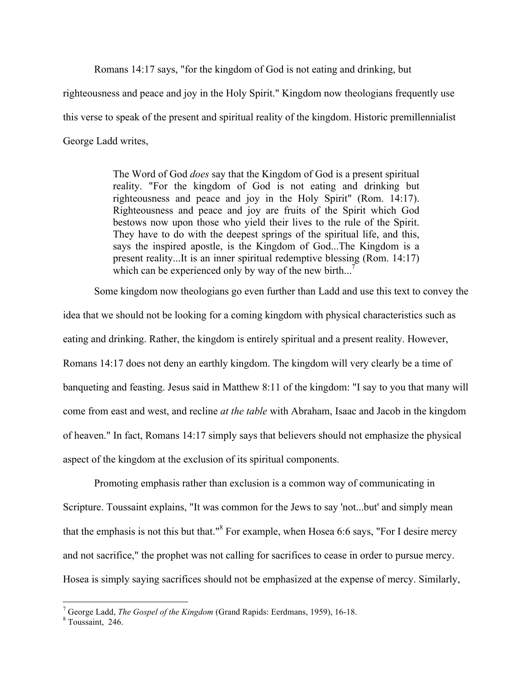Romans 14:17 says, "for the kingdom of God is not eating and drinking, but

righteousness and peace and joy in the Holy Spirit." Kingdom now theologians frequently use this verse to speak of the present and spiritual reality of the kingdom. Historic premillennialist George Ladd writes,

> The Word of God *does* say that the Kingdom of God is a present spiritual reality. "For the kingdom of God is not eating and drinking but righteousness and peace and joy in the Holy Spirit" (Rom. 14:17). Righteousness and peace and joy are fruits of the Spirit which God bestows now upon those who yield their lives to the rule of the Spirit. They have to do with the deepest springs of the spiritual life, and this, says the inspired apostle, is the Kingdom of God...The Kingdom is a present reality...It is an inner spiritual redemptive blessing (Rom. 14:17) which can be experienced only by way of the new birth...<sup>7</sup>

Some kingdom now theologians go even further than Ladd and use this text to convey the idea that we should not be looking for a coming kingdom with physical characteristics such as eating and drinking. Rather, the kingdom is entirely spiritual and a present reality. However, Romans 14:17 does not deny an earthly kingdom. The kingdom will very clearly be a time of banqueting and feasting. Jesus said in Matthew 8:11 of the kingdom: "I say to you that many will come from east and west, and recline *at the table* with Abraham, Isaac and Jacob in the kingdom of heaven." In fact, Romans 14:17 simply says that believers should not emphasize the physical aspect of the kingdom at the exclusion of its spiritual components.

Promoting emphasis rather than exclusion is a common way of communicating in Scripture. Toussaint explains, "It was common for the Jews to say 'not...but' and simply mean that the emphasis is not this but that."<sup>8</sup> For example, when Hosea 6:6 says, "For I desire mercy and not sacrifice," the prophet was not calling for sacrifices to cease in order to pursue mercy. Hosea is simply saying sacrifices should not be emphasized at the expense of mercy. Similarly,

<sup>&</sup>lt;sup>7</sup> George Ladd, *The Gospel of the Kingdom* (Grand Rapids: Eerdmans, 1959), 16-18. <sup>8</sup> Toussaint, 246.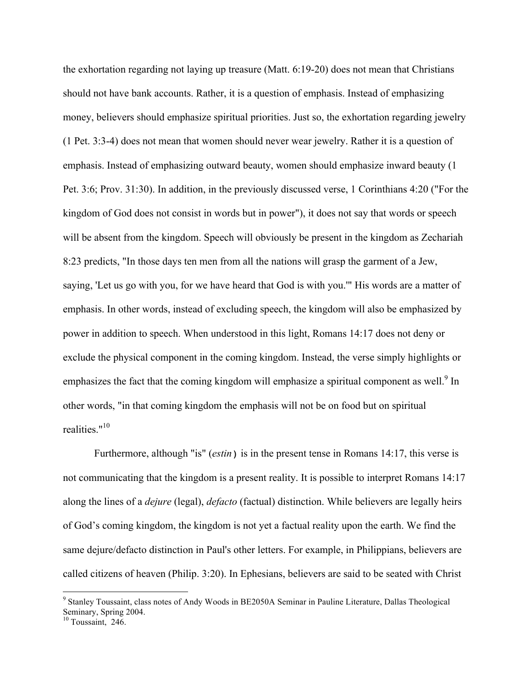the exhortation regarding not laying up treasure (Matt. 6:19-20) does not mean that Christians should not have bank accounts. Rather, it is a question of emphasis. Instead of emphasizing money, believers should emphasize spiritual priorities. Just so, the exhortation regarding jewelry (1 Pet. 3:3-4) does not mean that women should never wear jewelry. Rather it is a question of emphasis. Instead of emphasizing outward beauty, women should emphasize inward beauty (1 Pet. 3:6; Prov. 31:30). In addition, in the previously discussed verse, 1 Corinthians 4:20 ("For the kingdom of God does not consist in words but in power"), it does not say that words or speech will be absent from the kingdom. Speech will obviously be present in the kingdom as Zechariah 8:23 predicts, "In those days ten men from all the nations will grasp the garment of a Jew, saying, 'Let us go with you, for we have heard that God is with you.'" His words are a matter of emphasis. In other words, instead of excluding speech, the kingdom will also be emphasized by power in addition to speech. When understood in this light, Romans 14:17 does not deny or exclude the physical component in the coming kingdom. Instead, the verse simply highlights or emphasizes the fact that the coming kingdom will emphasize a spiritual component as well.<sup>9</sup> In other words, "in that coming kingdom the emphasis will not be on food but on spiritual realities."10

Furthermore, although "is" (*estin*) is in the present tense in Romans 14:17, this verse is not communicating that the kingdom is a present reality. It is possible to interpret Romans 14:17 along the lines of a *dejure* (legal), *defacto* (factual) distinction. While believers are legally heirs of God's coming kingdom, the kingdom is not yet a factual reality upon the earth. We find the same dejure/defacto distinction in Paul's other letters. For example, in Philippians, believers are called citizens of heaven (Philip. 3:20). In Ephesians, believers are said to be seated with Christ

 <sup>9</sup> Stanley Toussaint, class notes of Andy Woods in BE2050A Seminar in Pauline Literature, Dallas Theological Seminary, Spring 2004.

<sup>&</sup>lt;sup>10</sup> Toussaint, 246.